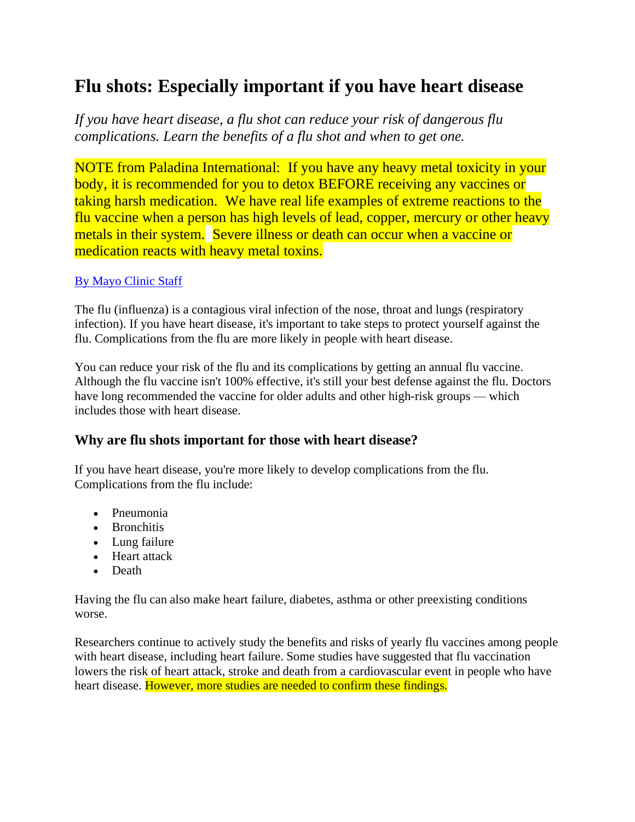# **Flu shots: Especially important if you have heart disease**

*If you have heart disease, a flu shot can reduce your risk of dangerous flu complications. Learn the benefits of a flu shot and when to get one.*

NOTE from Paladina International: If you have any heavy metal toxicity in your body, it is recommended for you to detox BEFORE receiving any vaccines or taking harsh medication. We have real life examples of extreme reactions to the flu vaccine when a person has high levels of lead, copper, mercury or other heavy metals in their system. Severe illness or death can occur when a vaccine or medication reacts with heavy metal toxins.

#### [By Mayo Clinic Staff](https://www.mayoclinic.org/about-this-site/welcome)

The flu (influenza) is a contagious viral infection of the nose, throat and lungs (respiratory infection). If you have heart disease, it's important to take steps to protect yourself against the flu. Complications from the flu are more likely in people with heart disease.

You can reduce your risk of the flu and its complications by getting an annual flu vaccine. Although the flu vaccine isn't 100% effective, it's still your best defense against the flu. Doctors have long recommended the vaccine for older adults and other high-risk groups — which includes those with heart disease.

## **Why are flu shots important for those with heart disease?**

If you have heart disease, you're more likely to develop complications from the flu. Complications from the flu include:

- Pneumonia
- Bronchitis
- Lung failure
- Heart attack
- Death

Having the flu can also make heart failure, diabetes, asthma or other preexisting conditions worse.

Researchers continue to actively study the benefits and risks of yearly flu vaccines among people with heart disease, including heart failure. Some studies have suggested that flu vaccination lowers the risk of heart attack, stroke and death from a cardiovascular event in people who have heart disease. However, more studies are needed to confirm these findings.